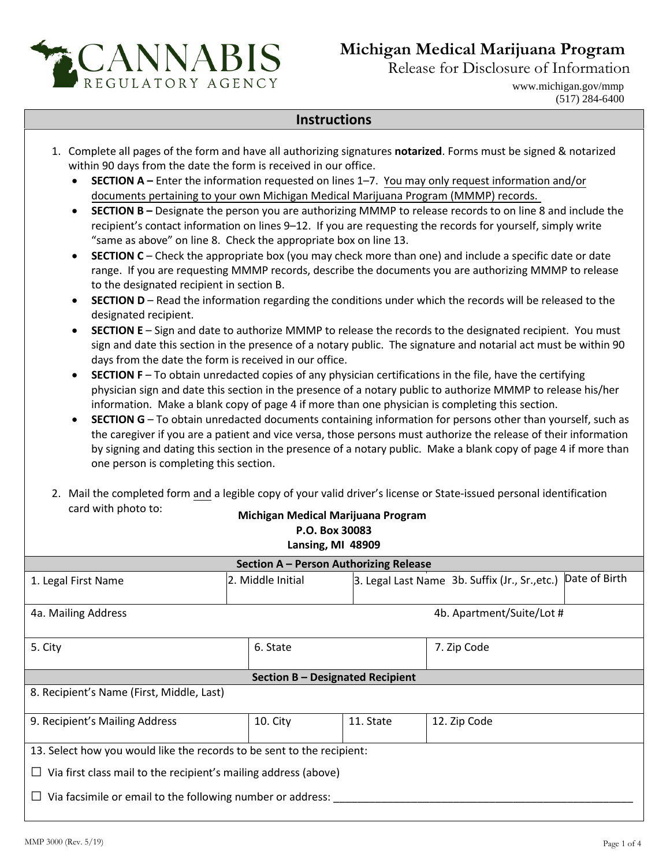

within 90 days from the date the form is received in our office.

## **Michigan Medical Marijuana Program**

Release for Disclosure of Information

www.michigan.gov/mmp (517) 284-6400

## **Instructions**

1. Complete all pages of the form and have all authorizing signatures **notarized**. Forms must be signed & notarized

• **SECTION A –** Enter the information requested on lines 1–7. You may only request information and/or documents pertaining to your own Michigan Medical Marijuana Program (MMMP) records. • **SECTION B –** Designate the person you are authorizing MMMP to release records to on line 8 and include the recipient's contact information on lines 9–12. If you are requesting the records for yourself, simply write "same as above" on line 8. Check the appropriate box on line 13. • **SECTION C** – Check the appropriate box (you may check more than one) and include a specific date or date range. If you are requesting MMMP records, describe the documents you are authorizing MMMP to release to the designated recipient in section B. • **SECTION D** – Read the information regarding the conditions under which the records will be released to the designated recipient. • **SECTION E** – Sign and date to authorize MMMP to release the records to the designated recipient. You must sign and date this section in the presence of a notary public. The signature and notarial act must be within 90 days from the date the form is received in our office. • **SECTION F** – To obtain unredacted copies of any physician certifications in the file, have the certifying physician sign and date this section in the presence of a notary public to authorize MMMP to release his/her information. Make a blank copy of page 4 if more than one physician is completing this section. • **SECTION G** – To obtain unredacted documents containing information for persons other than yourself, such as the caregiver if you are a patient and vice versa, those persons must authorize the release of their information by signing and dating this section in the presence of a notary public. Make a blank copy of page 4 if more than one person is completing this section. 2. Mail the completed form and a legible copy of your valid driver's license or State-issued personal identification card with photo to: **Michigan Medical Marijuana Program P.O. Box 30083 Lansing, MI 48909 Section A – Person Authorizing Release** 1. Legal First Name **2. 2. 2. 2. 2. 2. 2.** Middle Initial **3. Legal Last Name 3b. Suffix (Jr., Sr.**,etc.) Date of Birth 4a. Mailing Address 4b. Apartment/Suite/Lot # 5. City **6. State** 6. State 7. Zip Code **Section B – Designated Recipient** 8. Recipient's Name (First, Middle, Last) 9. Recipient's Mailing Address 10. City 11. State 12. Zip Code 13. Select how you would like the records to be sent to the recipient: **□** Via first class mail to the recipient's mailing address (above) □ Via facsimile or email to the following number or address: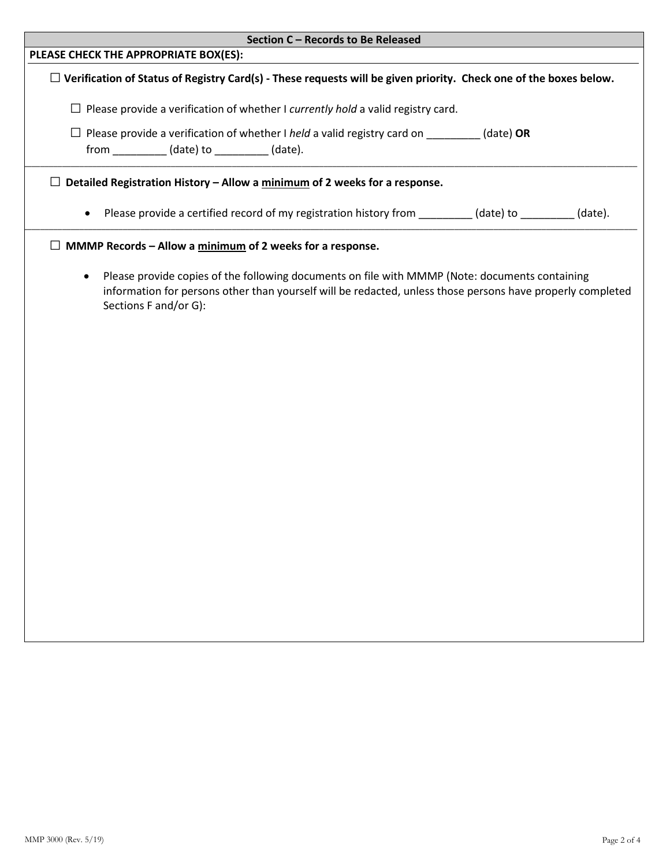| Section C - Records to Be Released                                                                                                                                                                                                                 |  |
|----------------------------------------------------------------------------------------------------------------------------------------------------------------------------------------------------------------------------------------------------|--|
| PLEASE CHECK THE APPROPRIATE BOX(ES):                                                                                                                                                                                                              |  |
| $\Box$ Verification of Status of Registry Card(s) - These requests will be given priority. Check one of the boxes below.                                                                                                                           |  |
| $\Box$ Please provide a verification of whether I currently hold a valid registry card.                                                                                                                                                            |  |
| $\Box$ Please provide a verification of whether I held a valid registry card on _________ (date) OR                                                                                                                                                |  |
| $\Box$ Detailed Registration History – Allow a minimum of 2 weeks for a response.                                                                                                                                                                  |  |
| Please provide a certified record of my registration history from _________ (date) to _________ (date).                                                                                                                                            |  |
| $\Box$ MMMP Records – Allow a $minimum$ of 2 weeks for a response.                                                                                                                                                                                 |  |
| Please provide copies of the following documents on file with MMMP (Note: documents containing<br>$\bullet$<br>information for persons other than yourself will be redacted, unless those persons have properly completed<br>Sections F and/or G): |  |
|                                                                                                                                                                                                                                                    |  |
|                                                                                                                                                                                                                                                    |  |
|                                                                                                                                                                                                                                                    |  |
|                                                                                                                                                                                                                                                    |  |
|                                                                                                                                                                                                                                                    |  |
|                                                                                                                                                                                                                                                    |  |
|                                                                                                                                                                                                                                                    |  |
|                                                                                                                                                                                                                                                    |  |
|                                                                                                                                                                                                                                                    |  |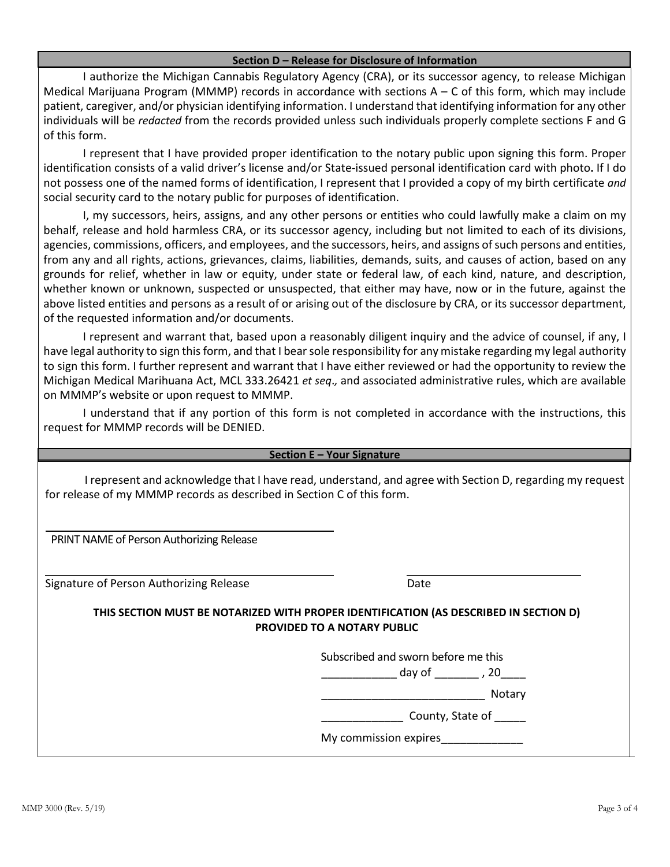## **Section D – Release for Disclosure of Information**

I authorize the Michigan Cannabis Regulatory Agency (CRA), or its successor agency, to release Michigan Medical Marijuana Program (MMMP) records in accordance with sections  $A - C$  of this form, which may include patient, caregiver, and/or physician identifying information. I understand that identifying information for any other individuals will be *redacted* from the records provided unless such individuals properly complete sections F and G of this form.

I represent that I have provided proper identification to the notary public upon signing this form. Proper identification consists of a valid driver's license and/or State-issued personal identification card with photo**.** If I do not possess one of the named forms of identification, I represent that I provided a copy of my birth certificate *and*  social security card to the notary public for purposes of identification.

I, my successors, heirs, assigns, and any other persons or entities who could lawfully make a claim on my behalf, release and hold harmless CRA, or its successor agency, including but not limited to each of its divisions, agencies, commissions, officers, and employees, and the successors, heirs, and assigns of such persons and entities, from any and all rights, actions, grievances, claims, liabilities, demands, suits, and causes of action, based on any grounds for relief, whether in law or equity, under state or federal law, of each kind, nature, and description, whether known or unknown, suspected or unsuspected, that either may have, now or in the future, against the above listed entities and persons as a result of or arising out of the disclosure by CRA, or its successor department, of the requested information and/or documents.

I represent and warrant that, based upon a reasonably diligent inquiry and the advice of counsel, if any, I have legal authority to sign this form, and that I bear sole responsibility for any mistake regarding my legal authority to sign this form. I further represent and warrant that I have either reviewed or had the opportunity to review the Michigan Medical Marihuana Act, MCL 333.26421 *et seq*.*,* and associated administrative rules, which are available on MMMP's website or upon request to MMMP.

I understand that if any portion of this form is not completed in accordance with the instructions, this request for MMMP records will be DENIED.

## **Section E – Your Signature**

I represent and acknowledge that I have read, understand, and agree with Section D, regarding my request for release of my MMMP records as described in Section C of this form.

PRINT NAME of Person Authorizing Release

Signature of Person Authorizing Release **Date** Date

**THIS SECTION MUST BE NOTARIZED WITH PROPER IDENTIFICATION (AS DESCRIBED IN SECTION D) PROVIDED TO A NOTARY PUBLIC** 

Subscribed and sworn before me this

\_\_\_\_\_\_\_\_\_\_\_\_ day of \_\_\_\_\_\_\_ , 20\_\_\_\_

\_\_\_\_\_\_\_\_\_\_\_\_\_\_\_\_\_\_\_\_\_\_\_\_\_\_ Notary

 $\frac{1}{2}$  County, State of  $\frac{1}{2}$ 

My commission expires